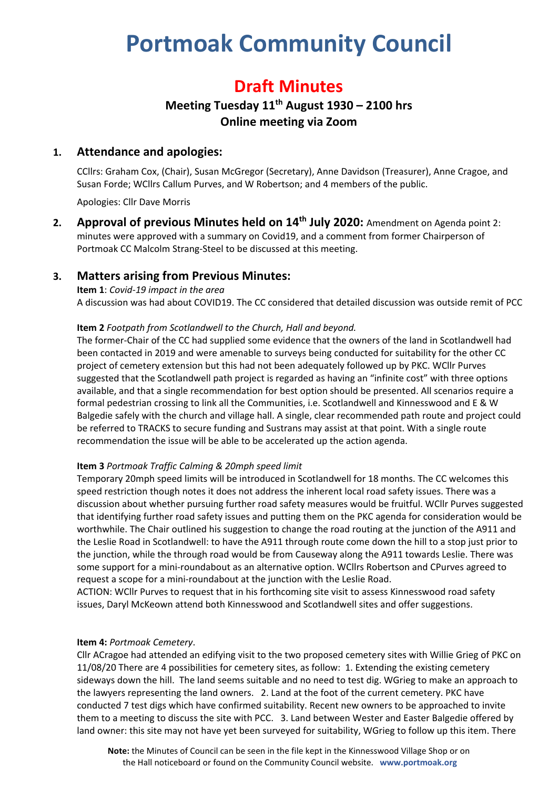# **Portmoak Community Council**

## **Draft Minutes**

## **Meeting Tuesday 11th August 1930 – 2100 hrs Online meeting via Zoom**

## **1. Attendance and apologies:**

CCllrs: Graham Cox, (Chair), Susan McGregor (Secretary), Anne Davidson (Treasurer), Anne Cragoe, and Susan Forde; WCllrs Callum Purves, and W Robertson; and 4 members of the public.

Apologies: Cllr Dave Morris

**2. Approval of previous Minutes held on 14th July 2020:** Amendment on Agenda point 2: minutes were approved with a summary on Covid19, and a comment from former Chairperson of Portmoak CC Malcolm Strang-Steel to be discussed at this meeting.

## **3. Matters arising from Previous Minutes:**

**Item 1**: *Covid-19 impact in the area* A discussion was had about COVID19. The CC considered that detailed discussion was outside remit of PCC

#### **Item 2** *Footpath from Scotlandwell to the Church, Hall and beyond.*

The former-Chair of the CC had supplied some evidence that the owners of the land in Scotlandwell had been contacted in 2019 and were amenable to surveys being conducted for suitability for the other CC project of cemetery extension but this had not been adequately followed up by PKC. WCllr Purves suggested that the Scotlandwell path project is regarded as having an "infinite cost" with three options available, and that a single recommendation for best option should be presented. All scenarios require a formal pedestrian crossing to link all the Communities, i.e. Scotlandwell and Kinnesswood and E & W Balgedie safely with the church and village hall. A single, clear recommended path route and project could be referred to TRACKS to secure funding and Sustrans may assist at that point. With a single route recommendation the issue will be able to be accelerated up the action agenda.

#### **Item 3** *Portmoak Traffic Calming & 20mph speed limit*

Temporary 20mph speed limits will be introduced in Scotlandwell for 18 months. The CC welcomes this speed restriction though notes it does not address the inherent local road safety issues. There was a discussion about whether pursuing further road safety measures would be fruitful. WCllr Purves suggested that identifying further road safety issues and putting them on the PKC agenda for consideration would be worthwhile. The Chair outlined his suggestion to change the road routing at the junction of the A911 and the Leslie Road in Scotlandwell: to have the A911 through route come down the hill to a stop just prior to the junction, while the through road would be from Causeway along the A911 towards Leslie. There was some support for a mini-roundabout as an alternative option. WCllrs Robertson and CPurves agreed to request a scope for a mini-roundabout at the junction with the Leslie Road.

ACTION: WCllr Purves to request that in his forthcoming site visit to assess Kinnesswood road safety issues, Daryl McKeown attend both Kinnesswood and Scotlandwell sites and offer suggestions.

#### **Item 4:** *Portmoak Cemetery*.

Cllr ACragoe had attended an edifying visit to the two proposed cemetery sites with Willie Grieg of PKC on 11/08/20 There are 4 possibilities for cemetery sites, as follow: 1. Extending the existing cemetery sideways down the hill. The land seems suitable and no need to test dig. WGrieg to make an approach to the lawyers representing the land owners. 2. Land at the foot of the current cemetery. PKC have conducted 7 test digs which have confirmed suitability. Recent new owners to be approached to invite them to a meeting to discuss the site with PCC. 3. Land between Wester and Easter Balgedie offered by land owner: this site may not have yet been surveyed for suitability, WGrieg to follow up this item. There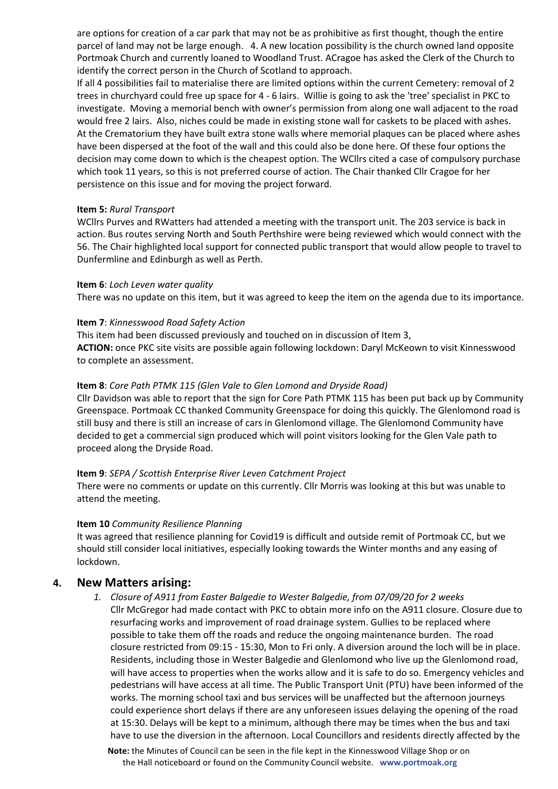are options for creation of a car park that may not be as prohibitive as first thought, though the entire parcel of land may not be large enough. 4. A new location possibility is the church owned land opposite Portmoak Church and currently loaned to Woodland Trust. ACragoe has asked the Clerk of the Church to identify the correct person in the Church of Scotland to approach.

If all 4 possibilities fail to materialise there are limited options within the current Cemetery: removal of 2 trees in churchyard could free up space for 4 - 6 lairs. Willie is going to ask the 'tree' specialist in PKC to investigate. Moving a memorial bench with owner's permission from along one wall adjacent to the road would free 2 lairs. Also, niches could be made in existing stone wall for caskets to be placed with ashes. At the Crematorium they have built extra stone walls where memorial plaques can be placed where ashes have been dispersed at the foot of the wall and this could also be done here. Of these four options the decision may come down to which is the cheapest option. The WCllrs cited a case of compulsory purchase which took 11 years, so this is not preferred course of action. The Chair thanked Cllr Cragoe for her persistence on this issue and for moving the project forward.

#### **Item 5:** *Rural Transport*

WCllrs Purves and RWatters had attended a meeting with the transport unit. The 203 service is back in action. Bus routes serving North and South Perthshire were being reviewed which would connect with the 56. The Chair highlighted local support for connected public transport that would allow people to travel to Dunfermline and Edinburgh as well as Perth.

#### **Item 6**: *Loch Leven water quality*

There was no update on this item, but it was agreed to keep the item on the agenda due to its importance.

#### **Item 7**: *Kinnesswood Road Safety Action*

This item had been discussed previously and touched on in discussion of Item 3, **ACTION:** once PKC site visits are possible again following lockdown: Daryl McKeown to visit Kinnesswood to complete an assessment.

#### **Item 8**: *Core Path PTMK 115 (Glen Vale to Glen Lomond and Dryside Road)*

Cllr Davidson was able to report that the sign for Core Path PTMK 115 has been put back up by Community Greenspace. Portmoak CC thanked Community Greenspace for doing this quickly. The Glenlomond road is still busy and there is still an increase of cars in Glenlomond village. The Glenlomond Community have decided to get a commercial sign produced which will point visitors looking for the Glen Vale path to proceed along the Dryside Road.

#### **Item 9**: *SEPA / Scottish Enterprise River Leven Catchment Project*

There were no comments or update on this currently. Cllr Morris was looking at this but was unable to attend the meeting.

#### **Item 10** *Community Resilience Planning*

It was agreed that resilience planning for Covid19 is difficult and outside remit of Portmoak CC, but we should still consider local initiatives, especially looking towards the Winter months and any easing of lockdown.

#### **4. New Matters arising:**

*1. Closure of A911 from Easter Balgedie to Wester Balgedie, from 07/09/20 for 2 weeks* Cllr McGregor had made contact with PKC to obtain more info on the A911 closure. Closure due to resurfacing works and improvement of road drainage system. Gullies to be replaced where possible to take them off the roads and reduce the ongoing maintenance burden. The road closure restricted from 09:15 - 15:30, Mon to Fri only. A diversion around the loch will be in place. Residents, including those in Wester Balgedie and Glenlomond who live up the Glenlomond road, will have access to properties when the works allow and it is safe to do so. Emergency vehicles and pedestrians will have access at all time. The Public Transport Unit (PTU) have been informed of the works. The morning school taxi and bus services will be unaffected but the afternoon journeys could experience short delays if there are any unforeseen issues delaying the opening of the road at 15:30. Delays will be kept to a minimum, although there may be times when the bus and taxi have to use the diversion in the afternoon. Local Councillors and residents directly affected by the

**Note:** the Minutes of Council can be seen in the file kept in the Kinnesswood Village Shop or on the Hall noticeboard or found on the Community Council website. **www.portmoak.org**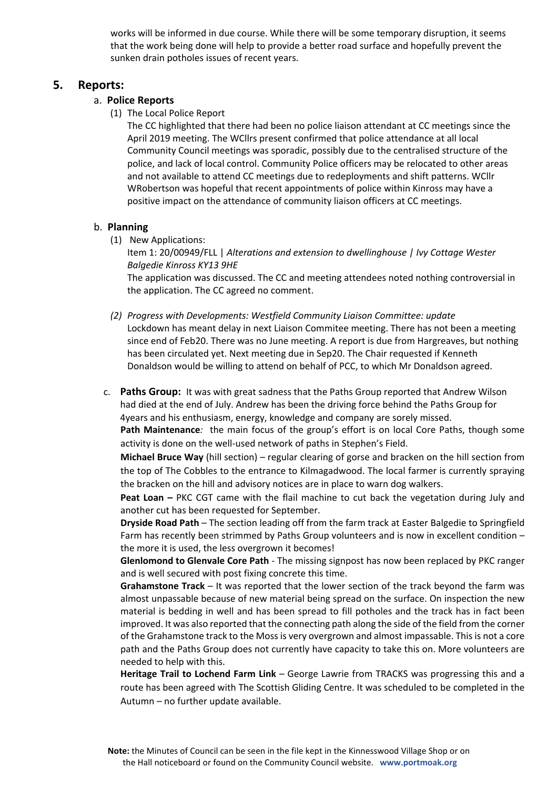works will be informed in due course. While there will be some temporary disruption, it seems that the work being done will help to provide a better road surface and hopefully prevent the sunken drain potholes issues of recent years.

#### **5. Reports:**

#### a. **Police Reports**

(1) The Local Police Report

The CC highlighted that there had been no police liaison attendant at CC meetings since the April 2019 meeting. The WCllrs present confirmed that police attendance at all local Community Council meetings was sporadic, possibly due to the centralised structure of the police, and lack of local control. Community Police officers may be relocated to other areas and not available to attend CC meetings due to redeployments and shift patterns. WCllr WRobertson was hopeful that recent appointments of police within Kinross may have a positive impact on the attendance of community liaison officers at CC meetings.

#### b. **Planning**

(1) New Applications:

the application. The CC agreed no comment.

Item 1: 20/00949/FLL | *Alterations and extension to dwellinghouse | Ivy Cottage Wester Balgedie Kinross KY13 9HE* The application was discussed. The CC and meeting attendees noted nothing controversial in

*(2) Progress with Developments: Westfield Community Liaison Committee: update* Lockdown has meant delay in next Liaison Commitee meeting. There has not been a meeting since end of Feb20. There was no June meeting. A report is due from Hargreaves, but nothing has been circulated yet. Next meeting due in Sep20. The Chair requested if Kenneth

Donaldson would be willing to attend on behalf of PCC, to which Mr Donaldson agreed.

c. **Paths Group:** It was with great sadness that the Paths Group reported that Andrew Wilson had died at the end of July. Andrew has been the driving force behind the Paths Group for 4years and his enthusiasm, energy, knowledge and company are sorely missed.

**Path Maintenance***:* the main focus of the group's effort is on local Core Paths, though some activity is done on the well-used network of paths in Stephen's Field.

**Michael Bruce Way** (hill section) – regular clearing of gorse and bracken on the hill section from the top of The Cobbles to the entrance to Kilmagadwood. The local farmer is currently spraying the bracken on the hill and advisory notices are in place to warn dog walkers.

**Peat Loan –** PKC CGT came with the flail machine to cut back the vegetation during July and another cut has been requested for September.

**Dryside Road Path** – The section leading off from the farm track at Easter Balgedie to Springfield Farm has recently been strimmed by Paths Group volunteers and is now in excellent condition – the more it is used, the less overgrown it becomes!

**Glenlomond to Glenvale Core Path** - The missing signpost has now been replaced by PKC ranger and is well secured with post fixing concrete this time.

**Grahamstone Track** – It was reported that the lower section of the track beyond the farm was almost unpassable because of new material being spread on the surface. On inspection the new material is bedding in well and has been spread to fill potholes and the track has in fact been improved. It was also reported that the connecting path along the side of the field from the corner of the Grahamstone track to the Moss is very overgrown and almost impassable. This is not a core path and the Paths Group does not currently have capacity to take this on. More volunteers are needed to help with this.

**Heritage Trail to Lochend Farm Link** – George Lawrie from TRACKS was progressing this and a route has been agreed with The Scottish Gliding Centre. It was scheduled to be completed in the Autumn – no further update available.